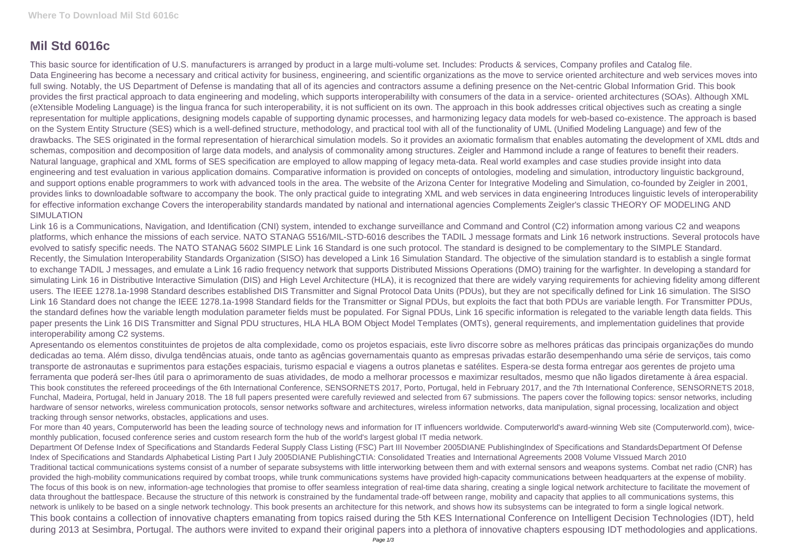## **Mil Std 6016c**

This basic source for identification of U.S. manufacturers is arranged by product in a large multi-volume set. Includes: Products & services, Company profiles and Catalog file. Data Engineering has become a necessary and critical activity for business, engineering, and scientific organizations as the move to service oriented architecture and web services moves into full swing. Notably, the US Department of Defense is mandating that all of its agencies and contractors assume a defining presence on the Net-centric Global Information Grid. This book provides the first practical approach to data engineering and modeling, which supports interoperabililty with consumers of the data in a service- oriented architectures (SOAs). Although XML (eXtensible Modeling Language) is the lingua franca for such interoperability, it is not sufficient on its own. The approach in this book addresses critical objectives such as creating a single representation for multiple applications, designing models capable of supporting dynamic processes, and harmonizing legacy data models for web-based co-existence. The approach is based on the System Entity Structure (SES) which is a well-defined structure, methodology, and practical tool with all of the functionality of UML (Unified Modeling Language) and few of the drawbacks. The SES originated in the formal representation of hierarchical simulation models. So it provides an axiomatic formalism that enables automating the development of XML dtds and schemas, composition and decomposition of large data models, and analysis of commonality among structures. Zeigler and Hammond include a range of features to benefit their readers. Natural language, graphical and XML forms of SES specification are employed to allow mapping of legacy meta-data. Real world examples and case studies provide insight into data engineering and test evaluation in various application domains. Comparative information is provided on concepts of ontologies, modeling and simulation, introductory linguistic background, and support options enable programmers to work with advanced tools in the area. The website of the Arizona Center for Integrative Modeling and Simulation, co-founded by Zeigler in 2001, provides links to downloadable software to accompany the book. The only practical guide to integrating XML and web services in data engineering Introduces linguistic levels of interoperability for effective information exchange Covers the interoperability standards mandated by national and international agencies Complements Zeigler's classic THEORY OF MODELING AND SIMULATION

Link 16 is a Communications, Navigation, and Identification (CNI) system, intended to exchange surveillance and Command and Control (C2) information among various C2 and weapons platforms, which enhance the missions of each service. NATO STANAG 5516/MIL-STD-6016 describes the TADIL J message formats and Link 16 network instructions. Several protocols have evolved to satisfy specific needs. The NATO STANAG 5602 SIMPLE Link 16 Standard is one such protocol. The standard is designed to be complementary to the SIMPLE Standard. Recently, the Simulation Interoperability Standards Organization (SISO) has developed a Link 16 Simulation Standard. The objective of the simulation standard is to establish a single format to exchange TADIL J messages, and emulate a Link 16 radio frequency network that supports Distributed Missions Operations (DMO) training for the warfighter. In developing a standard for simulating Link 16 in Distributive Interactive Simulation (DIS) and High Level Architecture (HLA), it is recognized that there are widely varying requirements for achieving fidelity among different users. The IEEE 1278.1a-1998 Standard describes established DIS Transmitter and Signal Protocol Data Units (PDUs), but they are not specifically defined for Link 16 simulation. The SISO Link 16 Standard does not change the IEEE 1278.1a-1998 Standard fields for the Transmitter or Signal PDUs, but exploits the fact that both PDUs are variable length. For Transmitter PDUs, the standard defines how the variable length modulation parameter fields must be populated. For Signal PDUs, Link 16 specific information is relegated to the variable length data fields. This paper presents the Link 16 DIS Transmitter and Signal PDU structures, HLA HLA BOM Object Model Templates (OMTs), general requirements, and implementation guidelines that provide interoperability among C2 systems.

Apresentando os elementos constituintes de projetos de alta complexidade, como os projetos espaciais, este livro discorre sobre as melhores práticas das principais organizações do mundo dedicadas ao tema. Além disso, divulga tendências atuais, onde tanto as agências governamentais quanto as empresas privadas estarão desempenhando uma série de serviços, tais como transporte de astronautas e suprimentos para estações espaciais, turismo espacial e viagens a outros planetas e satélites. Espera-se desta forma entregar aos gerentes de projeto uma ferramenta que poderá ser-lhes útil para o aprimoramento de suas atividades, de modo a melhorar processos e maximizar resultados, mesmo que não ligados diretamente à área espacial. This book constitutes the refereed proceedings of the 6th International Conference, SENSORNETS 2017, Porto, Portugal, held in February 2017, and the 7th International Conference, SENSORNETS 2018, Funchal, Madeira, Portugal, held in January 2018. The 18 full papers presented were carefully reviewed and selected from 67 submissions. The papers cover the following topics: sensor networks, including hardware of sensor networks, wireless communication protocols, sensor networks software and architectures, wireless information networks, data manipulation, signal processing, localization and object tracking through sensor networks, obstacles, applications and uses.

For more than 40 years, Computerworld has been the leading source of technology news and information for IT influencers worldwide. Computerworld's award-winning Web site (Computerworld.com), twicemonthly publication, focused conference series and custom research form the hub of the world's largest global IT media network.

Department Of Defense Index of Specifications and Standards Federal Supply Class Listing (FSC) Part III November 2005DIANE PublishingIndex of Specifications and StandardsDepartment Of Defense Index of Specifications and Standards Alphabetical Listing Part I July 2005DIANE PublishingCTIA: Consolidated Treaties and International Agreements 2008 Volume VIssued March 2010 Traditional tactical communications systems consist of a number of separate subsystems with little interworking between them and with external sensors and weapons systems. Combat net radio (CNR) has provided the high-mobility communications required by combat troops, while trunk communications systems have provided high-capacity communications between headquarters at the expense of mobility. The focus of this book is on new, information-age technologies that promise to offer seamless integration of real-time data sharing, creating a single logical network architecture to facilitate the movement of data throughout the battlespace. Because the structure of this network is constrained by the fundamental trade-off between range, mobility and capacity that applies to all communications systems, this network is unlikely to be based on a single network technology. This book presents an architecture for this network, and shows how its subsystems can be integrated to form a single logical network. This book contains a collection of innovative chapters emanating from topics raised during the 5th KES International Conference on Intelligent Decision Technologies (IDT), held during 2013 at Sesimbra, Portugal. The authors were invited to expand their original papers into a plethora of innovative chapters espousing IDT methodologies and applications.

- 
- 
-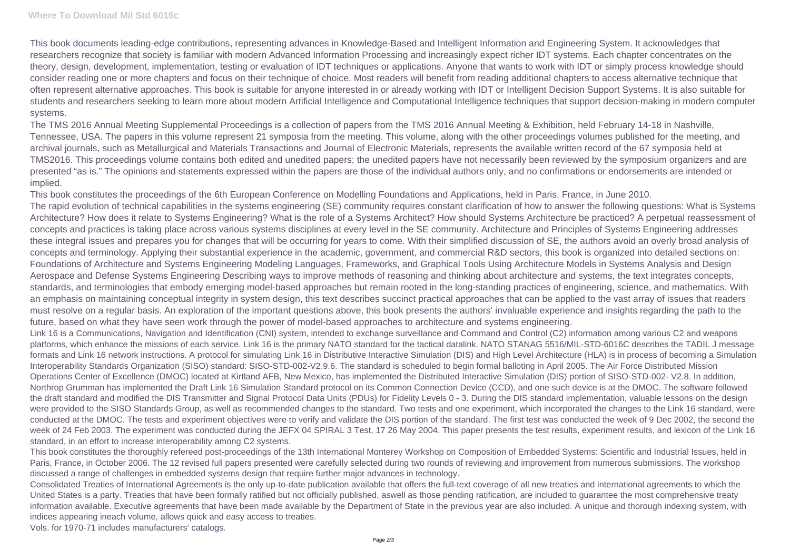This book documents leading-edge contributions, representing advances in Knowledge-Based and Intelligent Information and Engineering System. It acknowledges that researchers recognize that society is familiar with modern Advanced Information Processing and increasingly expect richer IDT systems. Each chapter concentrates on the theory, design, development, implementation, testing or evaluation of IDT techniques or applications. Anyone that wants to work with IDT or simply process knowledge should consider reading one or more chapters and focus on their technique of choice. Most readers will benefit from reading additional chapters to access alternative technique that often represent alternative approaches. This book is suitable for anyone interested in or already working with IDT or Intelligent Decision Support Systems. It is also suitable for students and researchers seeking to learn more about modern Artificial Intelligence and Computational Intelligence techniques that support decision-making in modern computer systems.

The TMS 2016 Annual Meeting Supplemental Proceedings is a collection of papers from the TMS 2016 Annual Meeting & Exhibition, held February 14-18 in Nashville, Tennessee, USA. The papers in this volume represent 21 symposia from the meeting. This volume, along with the other proceedings volumes published for the meeting, and archival journals, such as Metallurgical and Materials Transactions and Journal of Electronic Materials, represents the available written record of the 67 symposia held at TMS2016. This proceedings volume contains both edited and unedited papers; the unedited papers have not necessarily been reviewed by the symposium organizers and are presented "as is." The opinions and statements expressed within the papers are those of the individual authors only, and no confirmations or endorsements are intended or implied.

This book constitutes the proceedings of the 6th European Conference on Modelling Foundations and Applications, held in Paris, France, in June 2010. The rapid evolution of technical capabilities in the systems engineering (SE) community requires constant clarification of how to answer the following questions: What is Systems Architecture? How does it relate to Systems Engineering? What is the role of a Systems Architect? How should Systems Architecture be practiced? A perpetual reassessment of concepts and practices is taking place across various systems disciplines at every level in the SE community. Architecture and Principles of Systems Engineering addresses these integral issues and prepares you for changes that will be occurring for years to come. With their simplified discussion of SE, the authors avoid an overly broad analysis of concepts and terminology. Applying their substantial experience in the academic, government, and commercial R&D sectors, this book is organized into detailed sections on: Foundations of Architecture and Systems Engineering Modeling Languages, Frameworks, and Graphical Tools Using Architecture Models in Systems Analysis and Design Aerospace and Defense Systems Engineering Describing ways to improve methods of reasoning and thinking about architecture and systems, the text integrates concepts, standards, and terminologies that embody emerging model-based approaches but remain rooted in the long-standing practices of engineering, science, and mathematics. With an emphasis on maintaining conceptual integrity in system design, this text describes succinct practical approaches that can be applied to the vast array of issues that readers must resolve on a regular basis. An exploration of the important questions above, this book presents the authors' invaluable experience and insights regarding the path to the future, based on what they have seen work through the power of model-based approaches to architecture and systems engineering.

Link 16 is a Communications, Navigation and Identification (CNI) system, intended to exchange surveillance and Command and Control (C2) information among various C2 and weapons platforms, which enhance the missions of each service. Link 16 is the primary NATO standard for the tactical datalink. NATO STANAG 5516/MIL-STD-6016C describes the TADIL J message formats and Link 16 network instructions. A protocol for simulating Link 16 in Distributive Interactive Simulation (DIS) and High Level Architecture (HLA) is in process of becoming a Simulation Interoperability Standards Organization (SISO) standard: SISO-STD-002-V2.9.6. The standard is scheduled to begin formal balloting in April 2005. The Air Force Distributed Mission Operations Center of Excellence (DMOC) located at Kirtland AFB, New Mexico, has implemented the Distributed Interactive Simulation (DIS) portion of SISO-STD-002- V2.8. In addition, Northrop Grumman has implemented the Draft Link 16 Simulation Standard protocol on its Common Connection Device (CCD), and one such device is at the DMOC. The software followed the draft standard and modified the DIS Transmitter and Signal Protocol Data Units (PDUs) for Fidelity Levels 0 - 3. During the DIS standard implementation, valuable lessons on the design were provided to the SISO Standards Group, as well as recommended changes to the standard. Two tests and one experiment, which incorporated the changes to the Link 16 standard, were conducted at the DMOC. The tests and experiment objectives were to verify and validate the DIS portion of the standard. The first test was conducted the week of 9 Dec 2002, the second the week of 24 Feb 2003. The experiment was conducted during the JEFX 04 SPIRAL 3 Test, 17 26 May 2004. This paper presents the test results, experiment results, and lexicon of the Link 16 standard, in an effort to increase interoperability among C2 systems.

This book constitutes the thoroughly refereed post-proceedings of the 13th International Monterey Workshop on Composition of Embedded Systems: Scientific and Industrial Issues, held in Paris, France, in October 2006. The 12 revised full papers presented were carefully selected during two rounds of reviewing and improvement from numerous submissions. The workshop discussed a range of challenges in embedded systems design that require further major advances in technology.

Consolidated Treaties of International Agreements is the only up-to-date publication available that offers the full-text coverage of all new treaties and international agreements to which the United States is a party. Treaties that have been formally ratified but not officially published, aswell as those pending ratification, are included to guarantee the most comprehensive treaty information available. Executive agreements that have been made available by the Department of State in the previous year are also included. A unique and thorough indexing system, with indices appearing ineach volume, allows quick and easy access to treaties.

Vols. for 1970-71 includes manufacturers' catalogs.